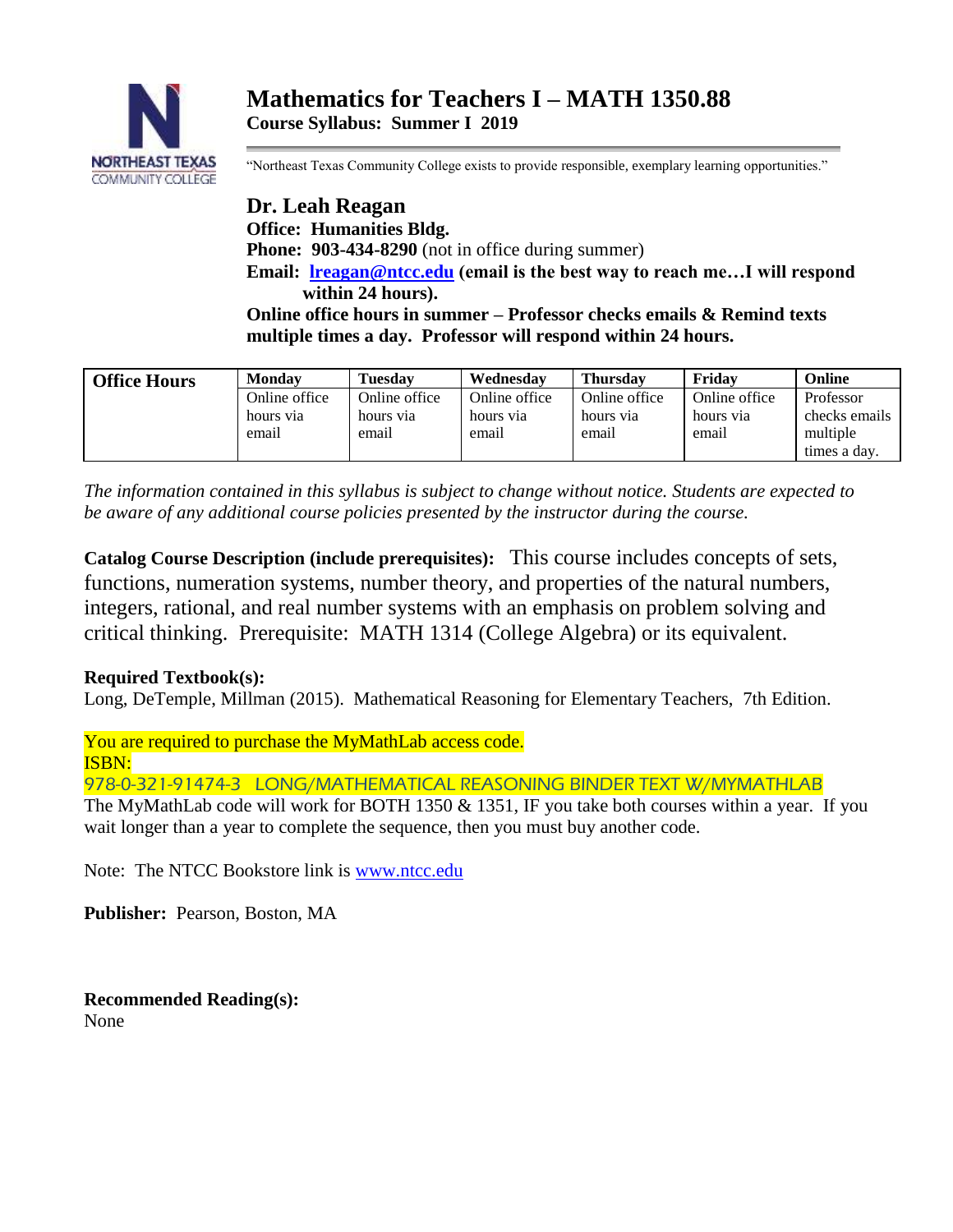

"Northeast Texas Community College exists to provide responsible, exemplary learning opportunities."

**Dr. Leah Reagan Office: Humanities Bldg. Phone: 903-434-8290** (not in office during summer) **Email: [lreagan@ntcc.edu](mailto:lreagan@ntcc.edu) (email is the best way to reach me…I will respond within 24 hours). Online office hours in summer – Professor checks emails & Remind texts multiple times a day. Professor will respond within 24 hours.**

| <b>Office Hours</b> | Monday        | <b>Tuesday</b> | Wednesday     | <b>Thursdav</b> | Fridav        | Online        |
|---------------------|---------------|----------------|---------------|-----------------|---------------|---------------|
|                     | Online office | Online office  | Online office | Online office   | Online office | Professor     |
|                     | hours via     | hours yia      | hours via     | hours via       | hours via     | checks emails |
|                     | email         | email          | email         | email           | email         | multiple      |
|                     |               |                |               |                 |               | times a day.  |

*The information contained in this syllabus is subject to change without notice. Students are expected to be aware of any additional course policies presented by the instructor during the course.*

**Catalog Course Description (include prerequisites):** This course includes concepts of sets, functions, numeration systems, number theory, and properties of the natural numbers, integers, rational, and real number systems with an emphasis on problem solving and critical thinking. Prerequisite: MATH 1314 (College Algebra) or its equivalent.

## **Required Textbook(s):**

Long, DeTemple, Millman (2015). Mathematical Reasoning for Elementary Teachers, 7th Edition.

You are required to purchase the MyMathLab access code. ISBN:

978-0-321-91474-3 LONG/MATHEMATICAL REASONING BINDER TEXT W/MYMATHLAB

The MyMathLab code will work for BOTH 1350 & 1351, IF you take both courses within a year. If you wait longer than a year to complete the sequence, then you must buy another code.

Note: The NTCC Bookstore link is [www.ntcc.edu](http://www.ntcc.edu/)

**Publisher:** Pearson, Boston, MA

**Recommended Reading(s):** None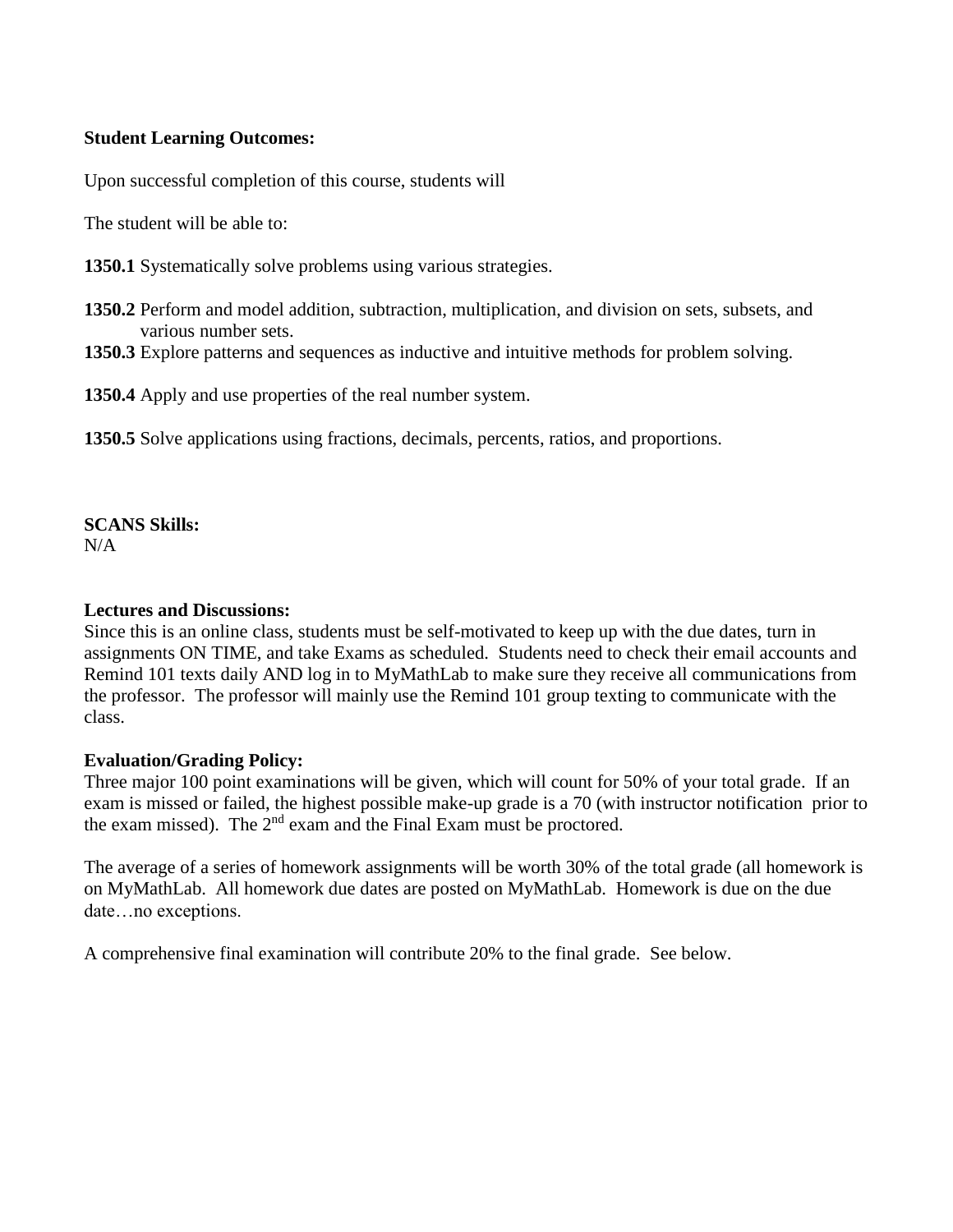#### **Student Learning Outcomes:**

Upon successful completion of this course, students will

The student will be able to:

**1350.1** Systematically solve problems using various strategies.

- **1350.2** Perform and model addition, subtraction, multiplication, and division on sets, subsets, and various number sets.
- **1350.3** Explore patterns and sequences as inductive and intuitive methods for problem solving.

**1350.4** Apply and use properties of the real number system.

**1350.5** Solve applications using fractions, decimals, percents, ratios, and proportions.

# **SCANS Skills:**

 $N/A$ 

#### **Lectures and Discussions:**

Since this is an online class, students must be self-motivated to keep up with the due dates, turn in assignments ON TIME, and take Exams as scheduled. Students need to check their email accounts and Remind 101 texts daily AND log in to MyMathLab to make sure they receive all communications from the professor. The professor will mainly use the Remind 101 group texting to communicate with the class.

## **Evaluation/Grading Policy:**

Three major 100 point examinations will be given, which will count for 50% of your total grade. If an exam is missed or failed, the highest possible make-up grade is a 70 (with instructor notification prior to the exam missed). The  $2<sup>nd</sup>$  exam and the Final Exam must be proctored.

The average of a series of homework assignments will be worth 30% of the total grade (all homework is on MyMathLab. All homework due dates are posted on MyMathLab. Homework is due on the due date…no exceptions.

A comprehensive final examination will contribute 20% to the final grade. See below.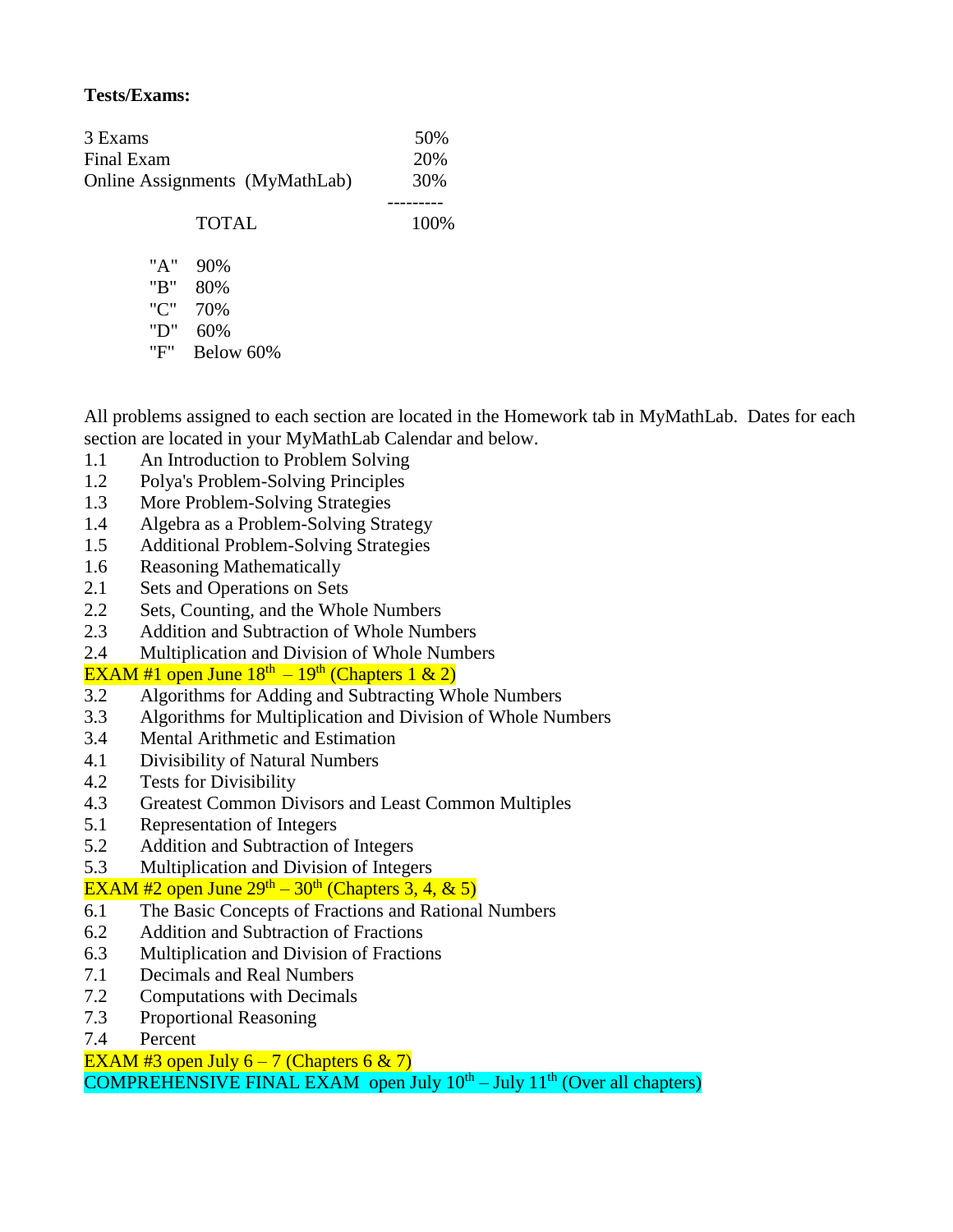## **Tests/Exams:**

| 3 Exams                        |              | 50%  |
|--------------------------------|--------------|------|
| Final Exam                     | 20%          |      |
| Online Assignments (MyMathLab) | 30%          |      |
|                                |              |      |
|                                | <b>TOTAL</b> | 100% |
| "A"                            | 90%          |      |
| "B"                            | 80%          |      |
|                                |              |      |
| "C"                            | 70%          |      |
| "D"                            | 60%          |      |

"F" Below 60%

All problems assigned to each section are located in the Homework tab in MyMathLab. Dates for each section are located in your MyMathLab Calendar and below.

- 1.1 An Introduction to Problem Solving
- 1.2 Polya's Problem-Solving Principles
- 1.3 More Problem-Solving Strategies
- 1.4 Algebra as a Problem-Solving Strategy
- 1.5 Additional Problem-Solving Strategies
- 1.6 Reasoning Mathematically
- 2.1 Sets and Operations on Sets
- 2.2 Sets, Counting, and the Whole Numbers
- 2.3 Addition and Subtraction of Whole Numbers
- 2.4 Multiplication and Division of Whole Numbers

## EXAM #1 open June  $18<sup>th</sup> - 19<sup>th</sup>$  (Chapters 1 & 2)

- 3.2 Algorithms for Adding and Subtracting Whole Numbers
- 3.3 Algorithms for Multiplication and Division of Whole Numbers
- 3.4 Mental Arithmetic and Estimation
- 4.1 Divisibility of Natural Numbers
- 4.2 Tests for Divisibility
- 4.3 Greatest Common Divisors and Least Common Multiples
- 5.1 Representation of Integers
- 5.2 Addition and Subtraction of Integers
- 5.3 Multiplication and Division of Integers

## EXAM #2 open June  $29<sup>th</sup> - 30<sup>th</sup>$  (Chapters 3, 4, & 5)

- 6.1 The Basic Concepts of Fractions and Rational Numbers
- 6.2 Addition and Subtraction of Fractions
- 6.3 Multiplication and Division of Fractions
- 7.1 Decimals and Real Numbers
- 7.2 Computations with Decimals
- 7.3 Proportional Reasoning
- 7.4 Percent

EXAM #3 open July  $6 - 7$  (Chapters 6 & 7)

COMPREHENSIVE FINAL EXAM open July  $10^{th}$  – July  $11^{th}$  (Over all chapters)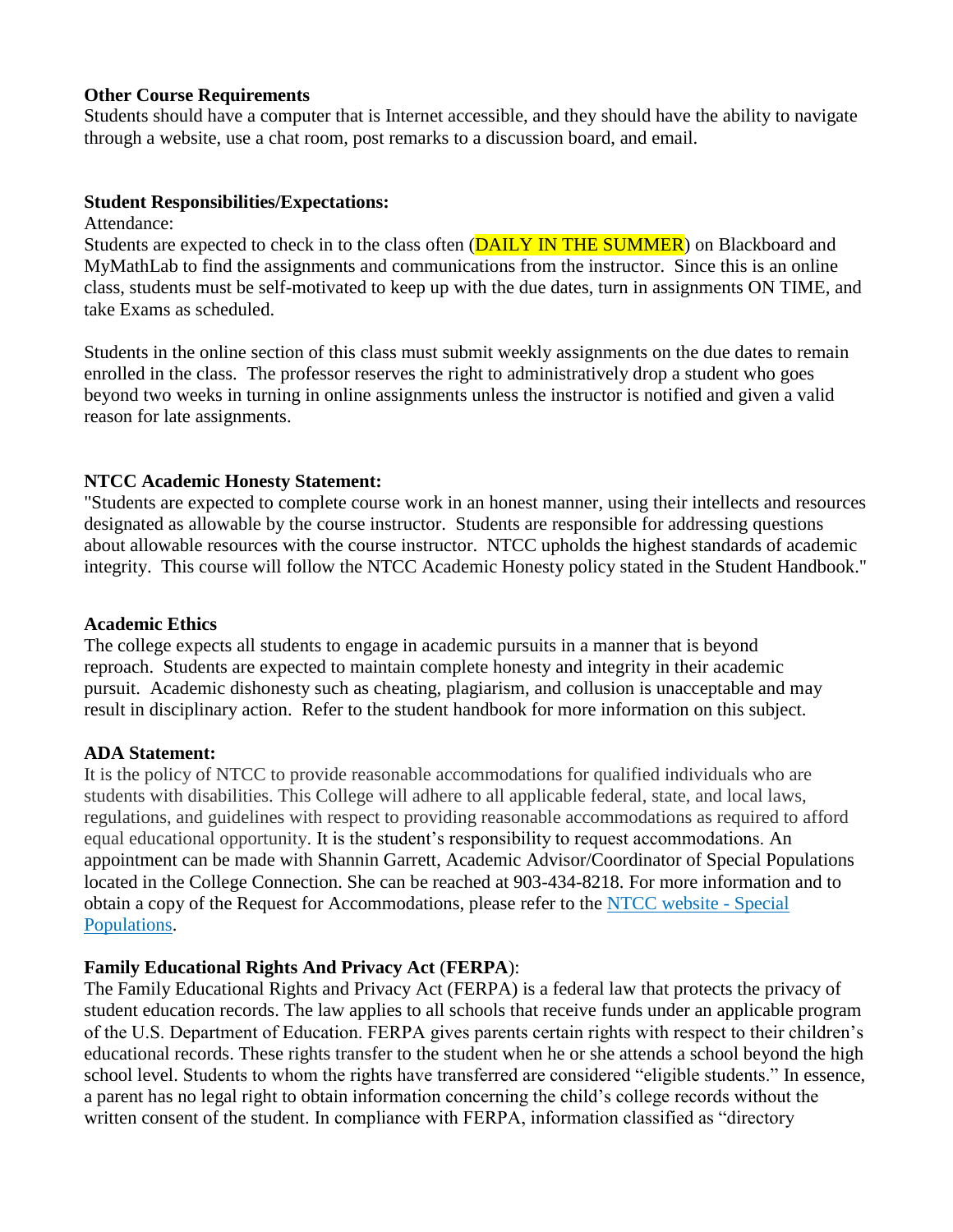#### **Other Course Requirements**

Students should have a computer that is Internet accessible, and they should have the ability to navigate through a website, use a chat room, post remarks to a discussion board, and email.

#### **Student Responsibilities/Expectations:**

Attendance:

Students are expected to check in to the class often (**DAILY IN THE SUMMER**) on Blackboard and MyMathLab to find the assignments and communications from the instructor. Since this is an online class, students must be self-motivated to keep up with the due dates, turn in assignments ON TIME, and take Exams as scheduled.

Students in the online section of this class must submit weekly assignments on the due dates to remain enrolled in the class. The professor reserves the right to administratively drop a student who goes beyond two weeks in turning in online assignments unless the instructor is notified and given a valid reason for late assignments.

## **NTCC Academic Honesty Statement:**

"Students are expected to complete course work in an honest manner, using their intellects and resources designated as allowable by the course instructor. Students are responsible for addressing questions about allowable resources with the course instructor. NTCC upholds the highest standards of academic integrity. This course will follow the NTCC Academic Honesty policy stated in the Student Handbook."

### **Academic Ethics**

The college expects all students to engage in academic pursuits in a manner that is beyond reproach. Students are expected to maintain complete honesty and integrity in their academic pursuit. Academic dishonesty such as cheating, plagiarism, and collusion is unacceptable and may result in disciplinary action. Refer to the student handbook for more information on this subject.

## **ADA Statement:**

It is the policy of NTCC to provide reasonable accommodations for qualified individuals who are students with disabilities. This College will adhere to all applicable federal, state, and local laws, regulations, and guidelines with respect to providing reasonable accommodations as required to afford equal educational opportunity. It is the student's responsibility to request accommodations. An appointment can be made with Shannin Garrett, Academic Advisor/Coordinator of Special Populations located in the College Connection. She can be reached at 903-434-8218. For more information and to obtain a copy of the Request for Accommodations, please refer to the [NTCC website -](http://www.ntcc.edu/index.php?module=Pagesetter&func=viewpub&tid=111&pid=1) Special [Populations.](http://www.ntcc.edu/index.php?module=Pagesetter&func=viewpub&tid=111&pid=1)

## **Family Educational Rights And Privacy Act** (**FERPA**):

The Family Educational Rights and Privacy Act (FERPA) is a federal law that protects the privacy of student education records. The law applies to all schools that receive funds under an applicable program of the U.S. Department of Education. FERPA gives parents certain rights with respect to their children's educational records. These rights transfer to the student when he or she attends a school beyond the high school level. Students to whom the rights have transferred are considered "eligible students." In essence, a parent has no legal right to obtain information concerning the child's college records without the written consent of the student. In compliance with FERPA, information classified as "directory